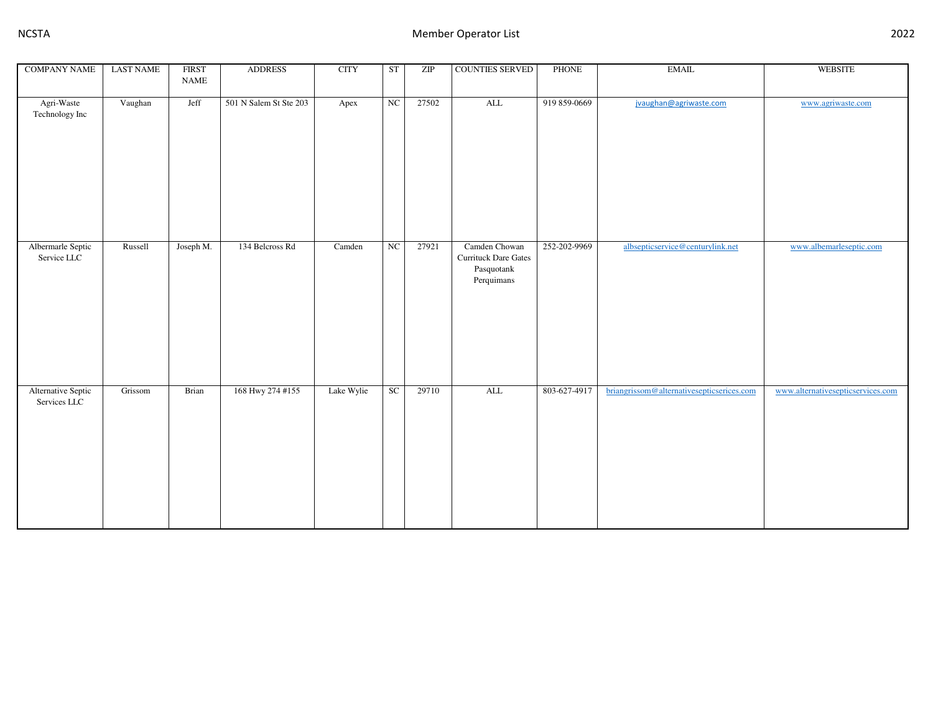| <b>COMPANY NAME</b>                | <b>LAST NAME</b> | <b>FIRST</b>                 | <b>ADDRESS</b>         | <b>CITY</b> | ST | ZIP   | <b>COUNTIES SERVED</b>                                                   | <b>PHONE</b> | <b>EMAIL</b>                              | <b>WEBSITE</b>                    |
|------------------------------------|------------------|------------------------------|------------------------|-------------|----|-------|--------------------------------------------------------------------------|--------------|-------------------------------------------|-----------------------------------|
|                                    |                  | $\ensuremath{\mathsf{NAME}}$ |                        |             |    |       |                                                                          |              |                                           |                                   |
| Agri-Waste<br>Technology Inc       | Vaughan          | Jeff                         | 501 N Salem St Ste 203 | Apex        | NC | 27502 | $\mbox{ALL}$                                                             | 919 859-0669 | jvaughan@agriwaste.com                    | www.agriwaste.com                 |
| Albermarle Septic<br>Service LLC   | Russell          | Joseph M.                    | 134 Belcross Rd        | Camden      | NC | 27921 | Camden Chowan<br><b>Currituck Dare Gates</b><br>Pasquotank<br>Perquimans | 252-202-9969 | albsepticservice@centurylink.net          | www.albemarleseptic.com           |
| Alternative Septic<br>Services LLC | Grissom          | Brian                        | 168 Hwy 274 #155       | Lake Wylie  | SC | 29710 | $\mbox{ALL}$                                                             | 803-627-4917 | briangrissom@alternativesepticserices.com | www.alternativesepticservices.com |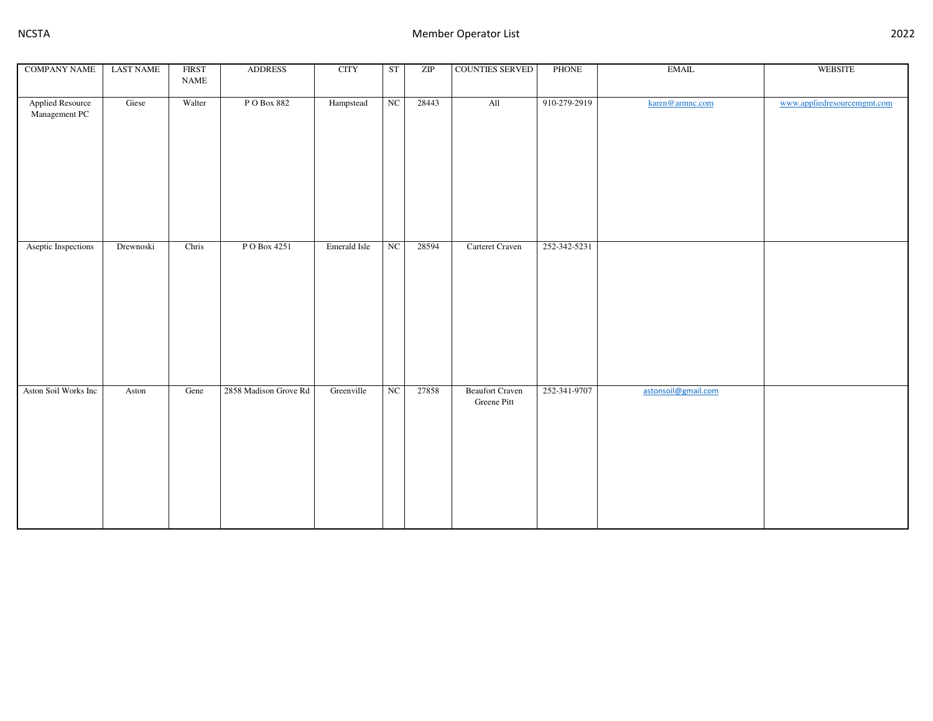| <b>COMPANY NAME</b>                      | <b>LAST NAME</b> | <b>FIRST</b>                 | <b>ADDRESS</b>        | <b>CITY</b>  | ST          | ZIP   | COUNTIES SERVED                       | PHONE        | EMAIL               | <b>WEBSITE</b>              |
|------------------------------------------|------------------|------------------------------|-----------------------|--------------|-------------|-------|---------------------------------------|--------------|---------------------|-----------------------------|
|                                          |                  | $\ensuremath{\mathsf{NAME}}$ |                       |              |             |       |                                       |              |                     |                             |
| <b>Applied Resource</b><br>Management PC | Giese            | Walter                       | PO Box 882            | Hampstead    | NC          | 28443 | All                                   | 910-279-2919 | karen@armnc.com     | www.appliedresourcemgmt.com |
| Aseptic Inspections                      | Drewnoski        | Chris                        | P O Box 4251          | Emerald Isle | $_{\rm NC}$ | 28594 | Carteret Craven                       | 252-342-5231 |                     |                             |
| Aston Soil Works Inc                     | Aston            | Gene                         | 2858 Madison Grove Rd | Greenville   | NC          | 27858 | <b>Beaufort Craven</b><br>Greene Pitt | 252-341-9707 | astonsoil@gmail.com |                             |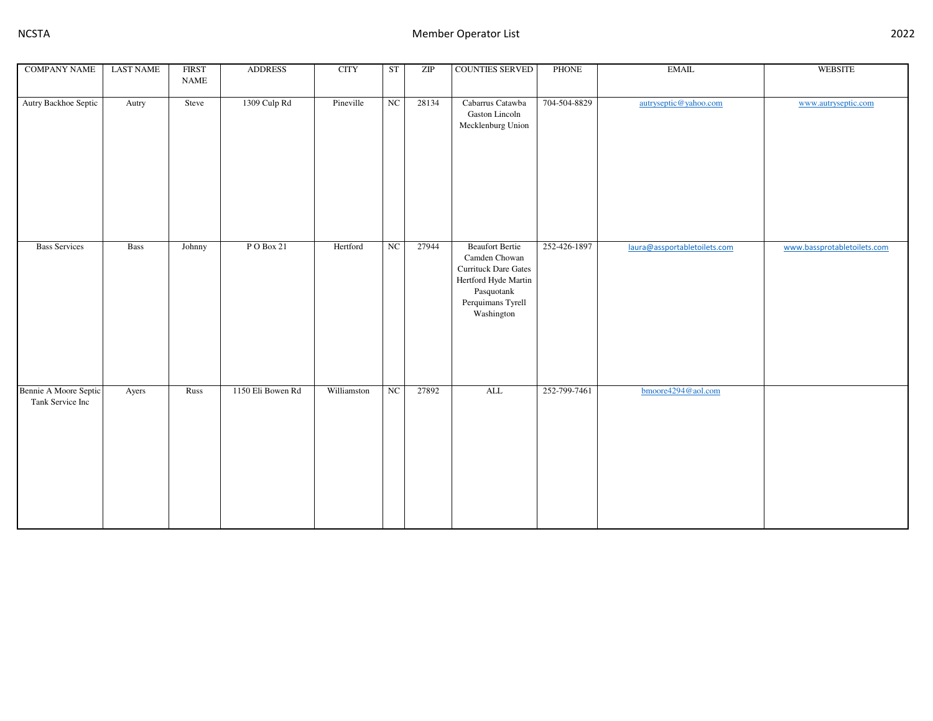| <b>COMPANY NAME</b>                       | <b>LAST NAME</b> | <b>FIRST</b><br>$\ensuremath{\mathsf{NAME}}$ | <b>ADDRESS</b>    | <b>CITY</b> | ST          | ZIP   | <b>COUNTIES SERVED</b>                                                                                                                   | <b>PHONE</b> | <b>EMAIL</b>                 | <b>WEBSITE</b>              |
|-------------------------------------------|------------------|----------------------------------------------|-------------------|-------------|-------------|-------|------------------------------------------------------------------------------------------------------------------------------------------|--------------|------------------------------|-----------------------------|
|                                           |                  |                                              |                   |             |             |       |                                                                                                                                          |              |                              |                             |
| Autry Backhoe Septic                      | Autry            | Steve                                        | 1309 Culp Rd      | Pineville   | NC          | 28134 | Cabarrus Catawba<br>Gaston Lincoln<br>Mecklenburg Union                                                                                  | 704-504-8829 | autryseptic@yahoo.com        | www.autryseptic.com         |
| <b>Bass Services</b>                      | Bass             | Johnny                                       | PO Box 21         | Hertford    | $_{\rm NC}$ | 27944 | <b>Beaufort Bertie</b><br>Camden Chowan<br>Currituck Dare Gates<br>Hertford Hyde Martin<br>Pasquotank<br>Perquimans Tyrell<br>Washington | 252-426-1897 | laura@assportabletoilets.com | www.bassprotabletoilets.com |
| Bennie A Moore Septic<br>Tank Service Inc | Ayers            | Russ                                         | 1150 Eli Bowen Rd | Williamston | NC          | 27892 | $\overline{\mathrm{ALL}}$                                                                                                                | 252-799-7461 | bmoore4294@aol.com           |                             |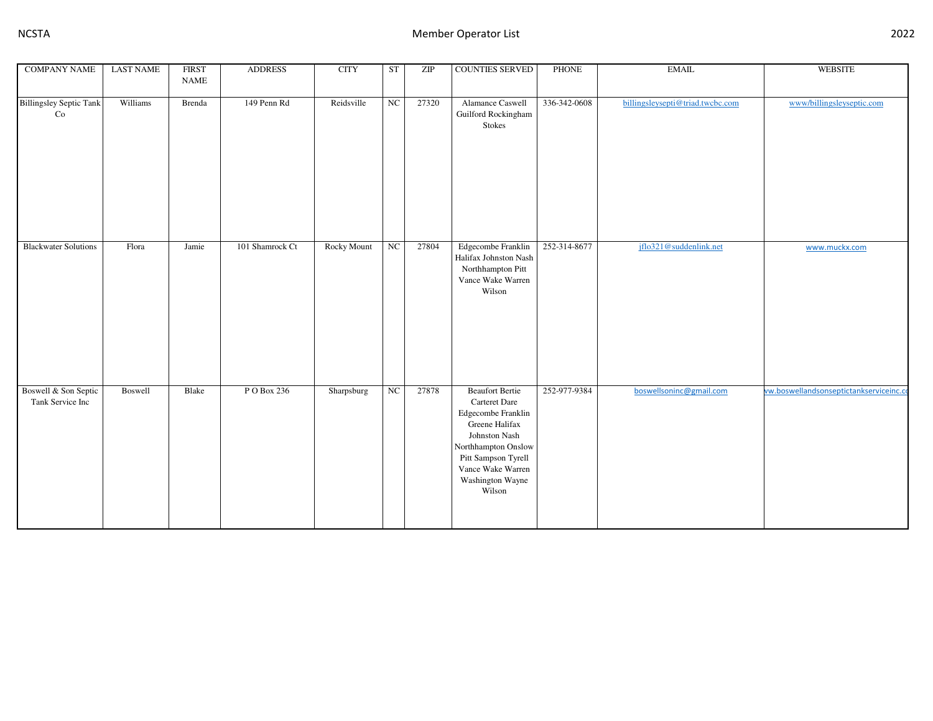| <b>COMPANY NAME</b>                      | <b>LAST NAME</b> | <b>FIRST</b><br><b>NAME</b> | <b>ADDRESS</b>  | <b>CITY</b> | <b>ST</b>   | ZIP   | <b>COUNTIES SERVED</b>                                                                                                                                                                            | <b>PHONE</b> | <b>EMAIL</b>                     | <b>WEBSITE</b>                          |
|------------------------------------------|------------------|-----------------------------|-----------------|-------------|-------------|-------|---------------------------------------------------------------------------------------------------------------------------------------------------------------------------------------------------|--------------|----------------------------------|-----------------------------------------|
| <b>Billingsley Septic Tank</b><br>Co     | Williams         | Brenda                      | 149 Penn Rd     | Reidsville  | NC          | 27320 | Alamance Caswell<br>Guilford Rockingham<br>Stokes                                                                                                                                                 | 336-342-0608 | billingsleysepti@triad.twcbc.com | www/billingsleyseptic.com               |
| <b>Blackwater Solutions</b>              | Flora            | Jamie                       | 101 Shamrock Ct | Rocky Mount | $_{\rm NC}$ | 27804 | Edgecombe Franklin<br>Halifax Johnston Nash<br>Northhampton Pitt<br>Vance Wake Warren<br>Wilson                                                                                                   | 252-314-8677 | jflo321@suddenlink.net           | www.muckx.com                           |
| Boswell & Son Septic<br>Tank Service Inc | Boswell          | Blake                       | P O Box 236     | Sharpsburg  | NC          | 27878 | <b>Beaufort Bertie</b><br>Carteret Dare<br>Edgecombe Franklin<br>Greene Halifax<br>Johnston Nash<br>Northhampton Onslow<br>Pitt Sampson Tyrell<br>Vance Wake Warren<br>Washington Wayne<br>Wilson | 252-977-9384 | boswellsoninc@gmail.com          | ww.boswellandsonseptictankserviceinc.co |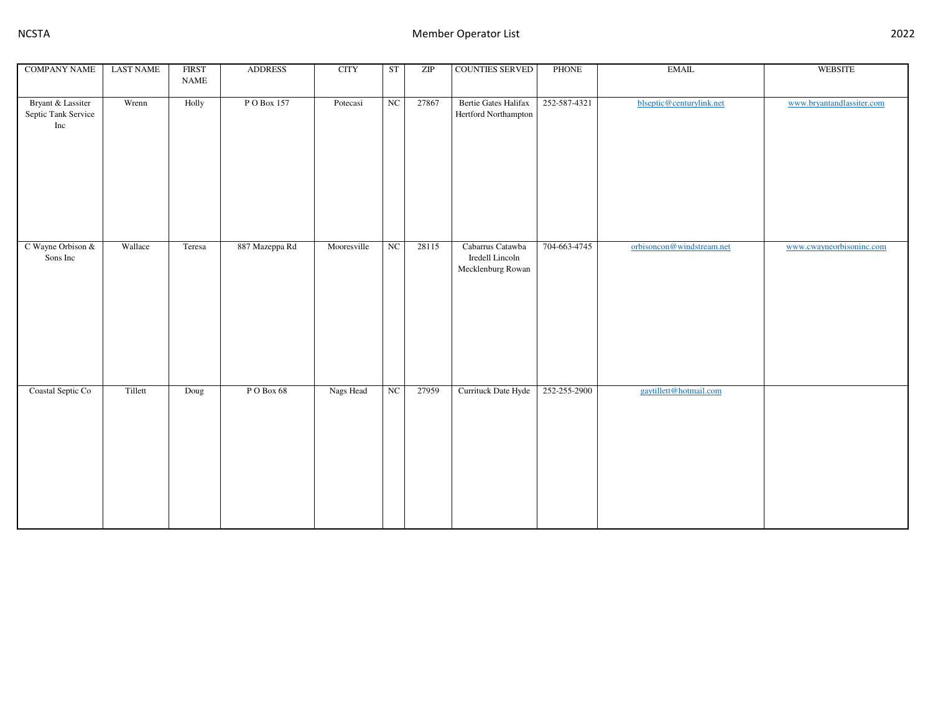| <b>COMPANY NAME</b>                             | <b>LAST NAME</b> | <b>FIRST</b><br>$\ensuremath{\mathsf{NAME}}$ | <b>ADDRESS</b> | <b>CITY</b> | ST          | ZIP   | <b>COUNTIES SERVED</b>                                   | <b>PHONE</b> | <b>EMAIL</b>              | <b>WEBSITE</b>            |
|-------------------------------------------------|------------------|----------------------------------------------|----------------|-------------|-------------|-------|----------------------------------------------------------|--------------|---------------------------|---------------------------|
|                                                 |                  |                                              |                |             |             |       |                                                          |              |                           |                           |
| Bryant & Lassiter<br>Septic Tank Service<br>Inc | Wrenn            | Holly                                        | PO Box 157     | Potecasi    | NC          | 27867 | <b>Bertie Gates Halifax</b><br>Hertford Northampton      | 252-587-4321 | blseptic@centurylink.net  | www.bryantandlassiter.com |
| C Wayne Orbison &<br>Sons Inc                   | Wallace          | Teresa                                       | 887 Mazeppa Rd | Mooresville | $_{\rm NC}$ | 28115 | Cabarrus Catawba<br>Iredell Lincoln<br>Mecklenburg Rowan | 704-663-4745 | orbisoncon@windstream.net | www.cwayneorbisoninc.com  |
| Coastal Septic Co                               | Tillett          | Doug                                         | PO Box 68      | Nags Head   | NC          | 27959 | Currituck Date Hyde                                      | 252-255-2900 | gaytillett@hotmail.com    |                           |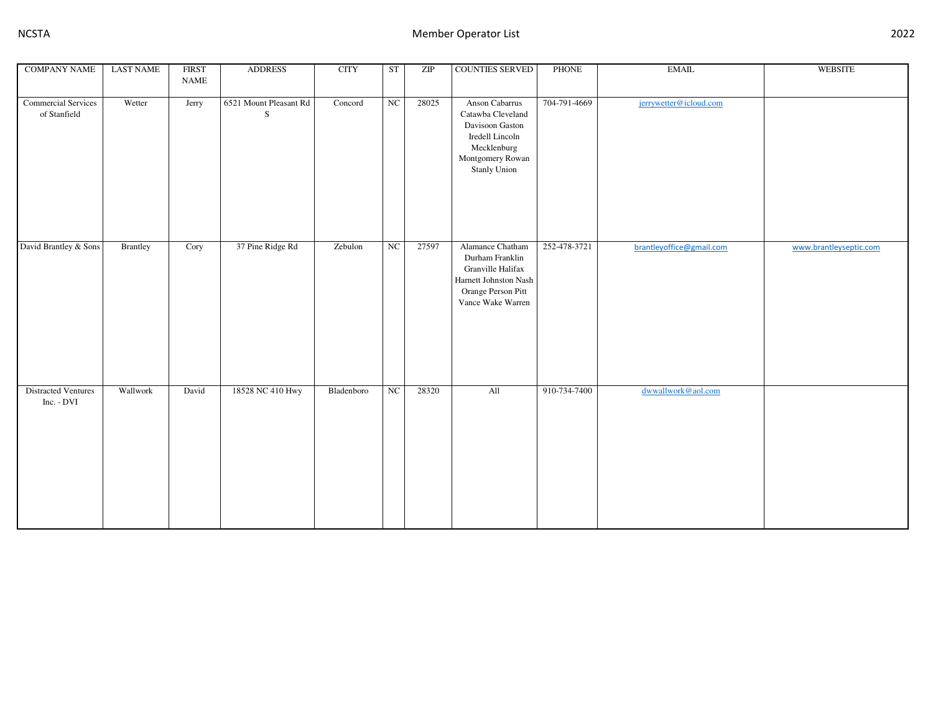| <b>COMPANY NAME</b>                 | <b>LAST NAME</b> | <b>FIRST</b><br><b>NAME</b> | <b>ADDRESS</b>              | <b>CITY</b> | ST          | ZIP   | COUNTIES SERVED                                                                                                              | PHONE        | <b>EMAIL</b>             | WEBSITE                |
|-------------------------------------|------------------|-----------------------------|-----------------------------|-------------|-------------|-------|------------------------------------------------------------------------------------------------------------------------------|--------------|--------------------------|------------------------|
| Commercial Services<br>of Stanfield | Wetter           | Jerry                       | 6521 Mount Pleasant Rd<br>S | Concord     | $_{\rm NC}$ | 28025 | Anson Cabarrus<br>Catawba Cleveland<br>Davisoon Gaston<br>Iredell Lincoln<br>Mecklenburg<br>Montgomery Rowan<br>Stanly Union | 704-791-4669 | jerrywetter@icloud.com   |                        |
| David Brantley & Sons               | <b>Brantley</b>  | Cory                        | 37 Pine Ridge Rd            | Zebulon     | $_{\rm NC}$ | 27597 | Alamance Chatham<br>Durham Franklin<br>Granville Halifax<br>Harnett Johnston Nash<br>Orange Person Pitt<br>Vance Wake Warren | 252-478-3721 | brantleyoffice@gmail.com | www.brantleyseptic.com |
| Distracted Ventures<br>Inc. - DVI   | Wallwork         | David                       | 18528 NC 410 Hwy            | Bladenboro  | $_{\rm NC}$ | 28320 | All                                                                                                                          | 910-734-7400 | dwwallwork@aol.com       |                        |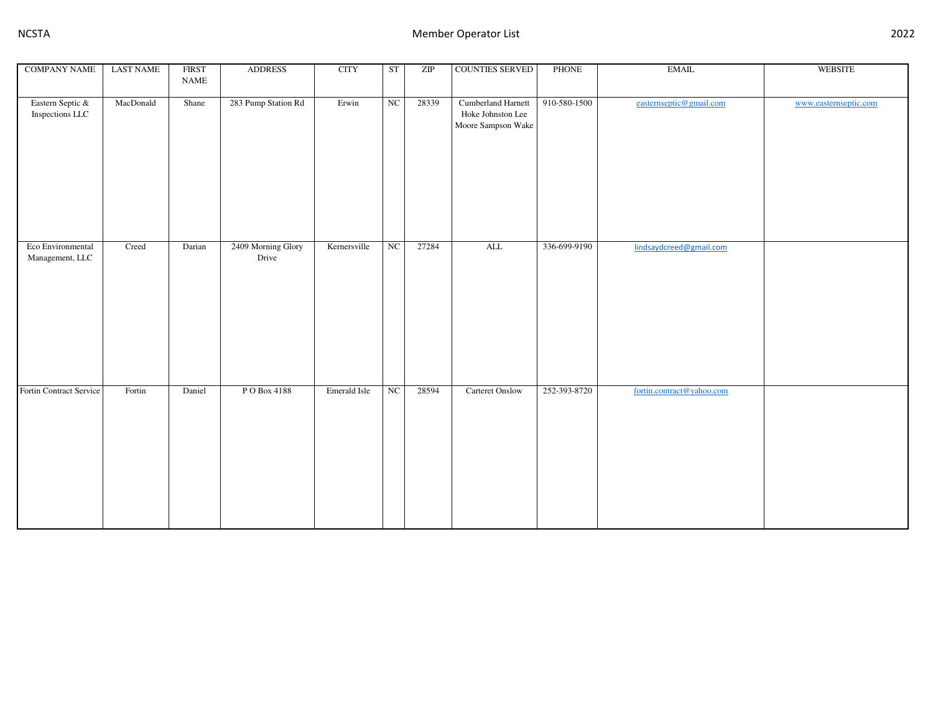| <b>COMPANY NAME</b>                  | <b>LAST NAME</b> | <b>FIRST</b>                 | <b>ADDRESS</b>              | <b>CITY</b>  | ST | ZIP   | <b>COUNTIES SERVED</b>                                               | <b>PHONE</b> | <b>EMAIL</b>              | <b>WEBSITE</b>        |
|--------------------------------------|------------------|------------------------------|-----------------------------|--------------|----|-------|----------------------------------------------------------------------|--------------|---------------------------|-----------------------|
|                                      |                  | $\ensuremath{\mathsf{NAME}}$ |                             |              |    |       |                                                                      |              |                           |                       |
| Eastern Septic &<br>Inspections LLC  | MacDonald        | Shane                        | 283 Pump Station Rd         | Erwin        | NC | 28339 | <b>Cumberland Harnett</b><br>Hoke Johnston Lee<br>Moore Sampson Wake | 910-580-1500 | easternseptic@gmail.com   | www.easternseptic.com |
| Eco Environmental<br>Management, LLC | Creed            | Darian                       | 2409 Morning Glory<br>Drive | Kernersville | NC | 27284 | ALL                                                                  | 336-699-9190 | lindsaydcreed@gmail.com   |                       |
| Fortin Contract Service              | Fortin           | Daniel                       | P O Box 4188                | Emerald Isle | NC | 28594 | <b>Carteret Onslow</b>                                               | 252-393-8720 | fortin.contract@yahoo.com |                       |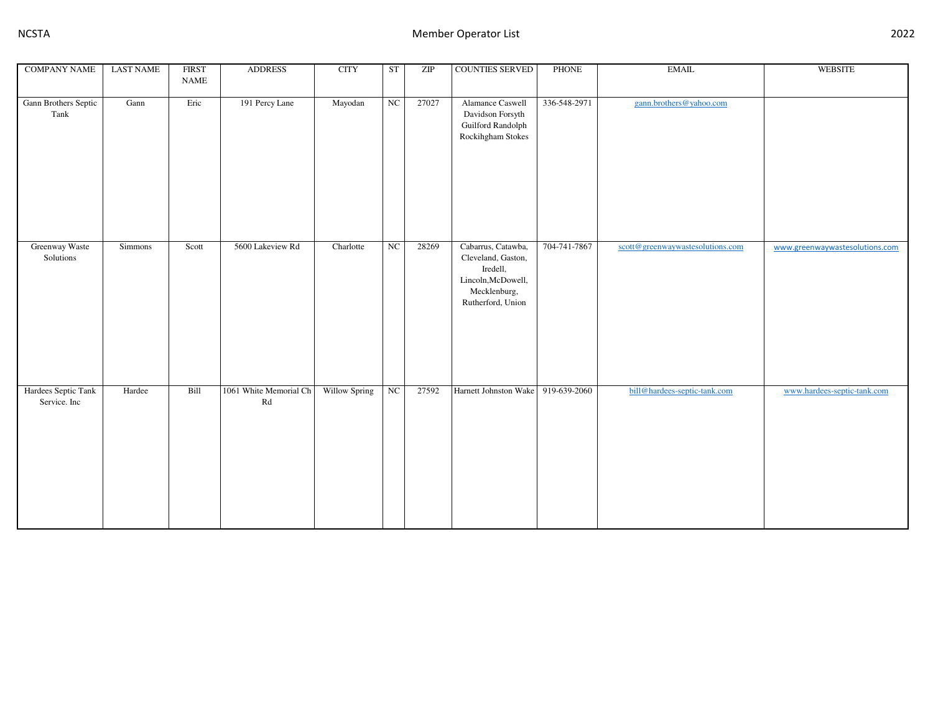| <b>COMPANY NAME</b>                 | <b>LAST NAME</b> | <b>FIRST</b><br>$\ensuremath{\mathsf{NAME}}$ | <b>ADDRESS</b>               | <b>CITY</b>   | ST | ZIP   | <b>COUNTIES SERVED</b>                                                                                          | <b>PHONE</b> | <b>EMAIL</b>                     | <b>WEBSITE</b>                 |
|-------------------------------------|------------------|----------------------------------------------|------------------------------|---------------|----|-------|-----------------------------------------------------------------------------------------------------------------|--------------|----------------------------------|--------------------------------|
| Gann Brothers Septic<br>Tank        | Gann             | Eric                                         | 191 Percy Lane               | Mayodan       | NC | 27027 | Alamance Caswell<br>Davidson Forsyth<br>Guilford Randolph<br>Rockihgham Stokes                                  | 336-548-2971 | gann.brothers@yahoo.com          |                                |
| Greenway Waste<br>Solutions         | Simmons          | Scott                                        | 5600 Lakeview Rd             | Charlotte     | NC | 28269 | Cabarrus, Catawba,<br>Cleveland, Gaston,<br>Iredell,<br>Lincoln, McDowell,<br>Mecklenburg,<br>Rutherford, Union | 704-741-7867 | scott@greenwaywastesolutions.com | www.greenwaywastesolutions.com |
| Hardees Septic Tank<br>Service. Inc | Hardee           | Bill                                         | 1061 White Memorial Ch<br>Rd | Willow Spring | NC | 27592 | Harnett Johnston Wake 919-639-2060                                                                              |              | bill@hardees-septic-tank.com     | www.hardees-septic-tank.com    |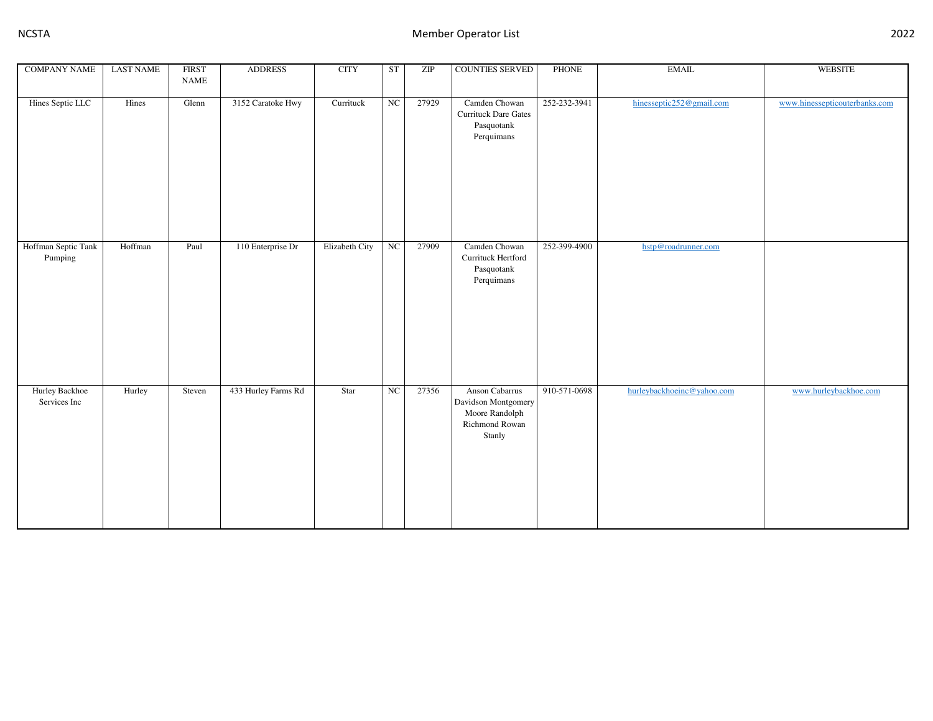| <b>COMPANY NAME</b>            | <b>LAST NAME</b> | <b>FIRST</b>                 | <b>ADDRESS</b>      | <b>CITY</b>    | ST          | ZIP   | <b>COUNTIES SERVED</b>                                                              | <b>PHONE</b> | <b>EMAIL</b>               | <b>WEBSITE</b>                |
|--------------------------------|------------------|------------------------------|---------------------|----------------|-------------|-------|-------------------------------------------------------------------------------------|--------------|----------------------------|-------------------------------|
|                                |                  | $\ensuremath{\mathsf{NAME}}$ |                     |                |             |       |                                                                                     |              |                            |                               |
| Hines Septic LLC               | Hines            | Glenn                        | 3152 Caratoke Hwy   | Currituck      | NC          | 27929 | Camden Chowan<br>Currituck Dare Gates<br>Pasquotank<br>Perquimans                   | 252-232-3941 | hinesseptic252@gmail.com   | www.hinessepticouterbanks.com |
| Hoffman Septic Tank<br>Pumping | Hoffman          | Paul                         | 110 Enterprise Dr   | Elizabeth City | $_{\rm NC}$ | 27909 | Camden Chowan<br>Currituck Hertford<br>Pasquotank<br>Perquimans                     | 252-399-4900 | hstp@roadrunner.com        |                               |
| Hurley Backhoe<br>Services Inc | Hurley           | Steven                       | 433 Hurley Farms Rd | Star           | $_{\rm NC}$ | 27356 | Anson Cabarrus<br>Davidson Montgomery<br>Moore Randolph<br>Richmond Rowan<br>Stanly | 910-571-0698 | hurleybackhoeinc@yahoo.com | www.hurleybackhoe.com         |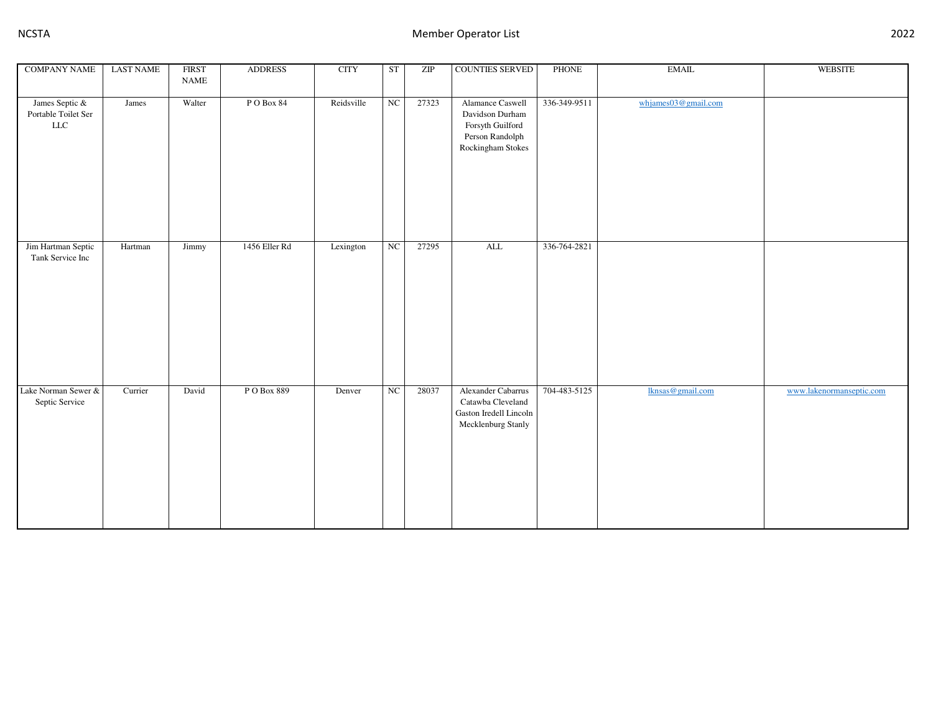| <b>COMPANY NAME</b>                                  | <b>LAST NAME</b> | <b>FIRST</b> | <b>ADDRESS</b> | <b>CITY</b> | ST          | ZIP   | COUNTIES SERVED                                                                                 | <b>PHONE</b> | <b>EMAIL</b>        | WEBSITE                  |
|------------------------------------------------------|------------------|--------------|----------------|-------------|-------------|-------|-------------------------------------------------------------------------------------------------|--------------|---------------------|--------------------------|
|                                                      |                  | <b>NAME</b>  |                |             |             |       |                                                                                                 |              |                     |                          |
|                                                      |                  |              |                |             |             |       |                                                                                                 |              |                     |                          |
| James Septic &<br>Portable Toilet Ser<br>${\rm LLC}$ | James            | Walter       | PO Box 84      | Reidsville  | $_{\rm NC}$ | 27323 | Alamance Caswell<br>Davidson Durham<br>Forsyth Guilford<br>Person Randolph<br>Rockingham Stokes | 336-349-9511 | whjames03@gmail.com |                          |
|                                                      |                  |              |                |             |             |       |                                                                                                 |              |                     |                          |
| Jim Hartman Septic<br>Tank Service Inc               | Hartman          | Jimmy        | 1456 Eller Rd  | Lexington   | $_{\rm NC}$ | 27295 | $\overline{\mathrm{ALL}}$                                                                       | 336-764-2821 |                     |                          |
| Lake Norman Sewer &<br>Septic Service                | Currier          | David        | PO Box 889     | Denver      | $_{\rm NC}$ | 28037 | Alexander Cabarrus<br>Catawba Cleveland<br>Gaston Iredell Lincoln<br>Mecklenburg Stanly         | 704-483-5125 | Iknsas@gmail.com    | www.lakenormanseptic.com |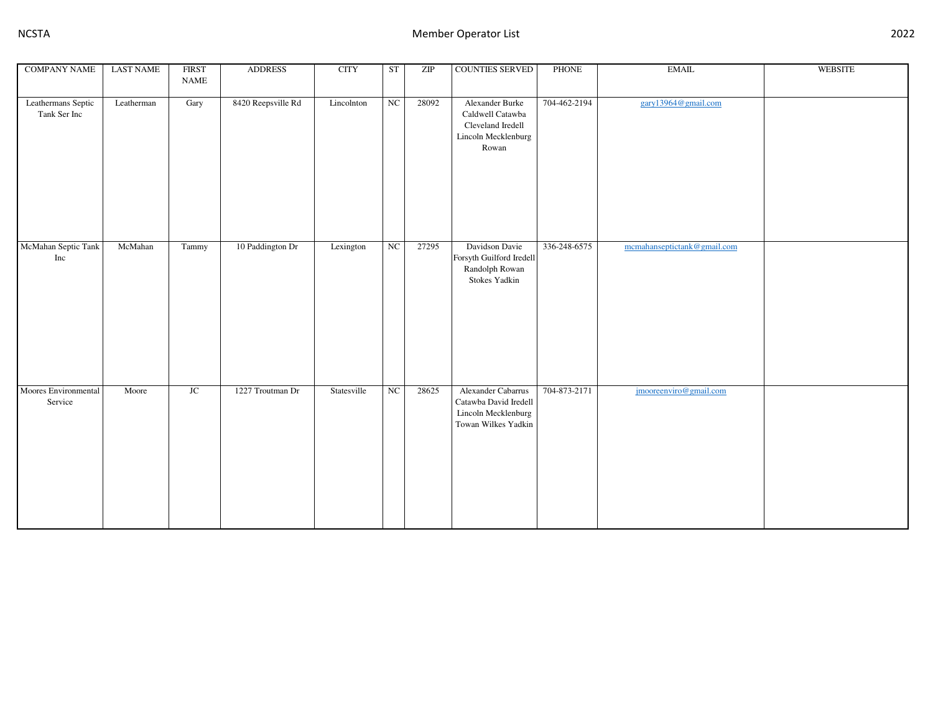| <b>COMPANY NAME</b>  | <b>LAST NAME</b> | <b>FIRST</b> | <b>ADDRESS</b>     | <b>CITY</b> | ST          | ZIP   | COUNTIES SERVED                              | PHONE        | <b>EMAIL</b>                | WEBSITE |
|----------------------|------------------|--------------|--------------------|-------------|-------------|-------|----------------------------------------------|--------------|-----------------------------|---------|
|                      |                  | <b>NAME</b>  |                    |             |             |       |                                              |              |                             |         |
| Leathermans Septic   | Leatherman       | Gary         | 8420 Reepsville Rd | Lincolnton  | $_{\rm NC}$ | 28092 | Alexander Burke                              | 704-462-2194 | gary13964@gmail.com         |         |
| Tank Ser Inc         |                  |              |                    |             |             |       | Caldwell Catawba                             |              |                             |         |
|                      |                  |              |                    |             |             |       | Cleveland Iredell                            |              |                             |         |
|                      |                  |              |                    |             |             |       | Lincoln Mecklenburg                          |              |                             |         |
|                      |                  |              |                    |             |             |       | Rowan                                        |              |                             |         |
|                      |                  |              |                    |             |             |       |                                              |              |                             |         |
|                      |                  |              |                    |             |             |       |                                              |              |                             |         |
|                      |                  |              |                    |             |             |       |                                              |              |                             |         |
|                      |                  |              |                    |             |             |       |                                              |              |                             |         |
|                      |                  |              |                    |             |             |       |                                              |              |                             |         |
|                      |                  |              |                    |             |             |       |                                              |              |                             |         |
| McMahan Septic Tank  | McMahan          | Tammy        | 10 Paddington Dr   | Lexington   | $_{\rm NC}$ | 27295 | Davidson Davie                               | 336-248-6575 | mcmahanseptictank@gmail.com |         |
| Inc                  |                  |              |                    |             |             |       | Forsyth Guilford Iredell                     |              |                             |         |
|                      |                  |              |                    |             |             |       | Randolph Rowan                               |              |                             |         |
|                      |                  |              |                    |             |             |       | Stokes Yadkin                                |              |                             |         |
|                      |                  |              |                    |             |             |       |                                              |              |                             |         |
|                      |                  |              |                    |             |             |       |                                              |              |                             |         |
|                      |                  |              |                    |             |             |       |                                              |              |                             |         |
|                      |                  |              |                    |             |             |       |                                              |              |                             |         |
|                      |                  |              |                    |             |             |       |                                              |              |                             |         |
|                      |                  |              |                    |             |             |       |                                              |              |                             |         |
|                      |                  |              |                    |             |             |       |                                              |              |                             |         |
| Moores Environmental | Moore            | $\rm JC$     | 1227 Troutman Dr   | Statesville | $_{\rm NC}$ | 28625 | Alexander Cabarrus                           | 704-873-2171 | jmooreenviro@gmail.com      |         |
| Service              |                  |              |                    |             |             |       | Catawba David Iredell<br>Lincoln Mecklenburg |              |                             |         |
|                      |                  |              |                    |             |             |       | Towan Wilkes Yadkin                          |              |                             |         |
|                      |                  |              |                    |             |             |       |                                              |              |                             |         |
|                      |                  |              |                    |             |             |       |                                              |              |                             |         |
|                      |                  |              |                    |             |             |       |                                              |              |                             |         |
|                      |                  |              |                    |             |             |       |                                              |              |                             |         |
|                      |                  |              |                    |             |             |       |                                              |              |                             |         |
|                      |                  |              |                    |             |             |       |                                              |              |                             |         |
|                      |                  |              |                    |             |             |       |                                              |              |                             |         |
|                      |                  |              |                    |             |             |       |                                              |              |                             |         |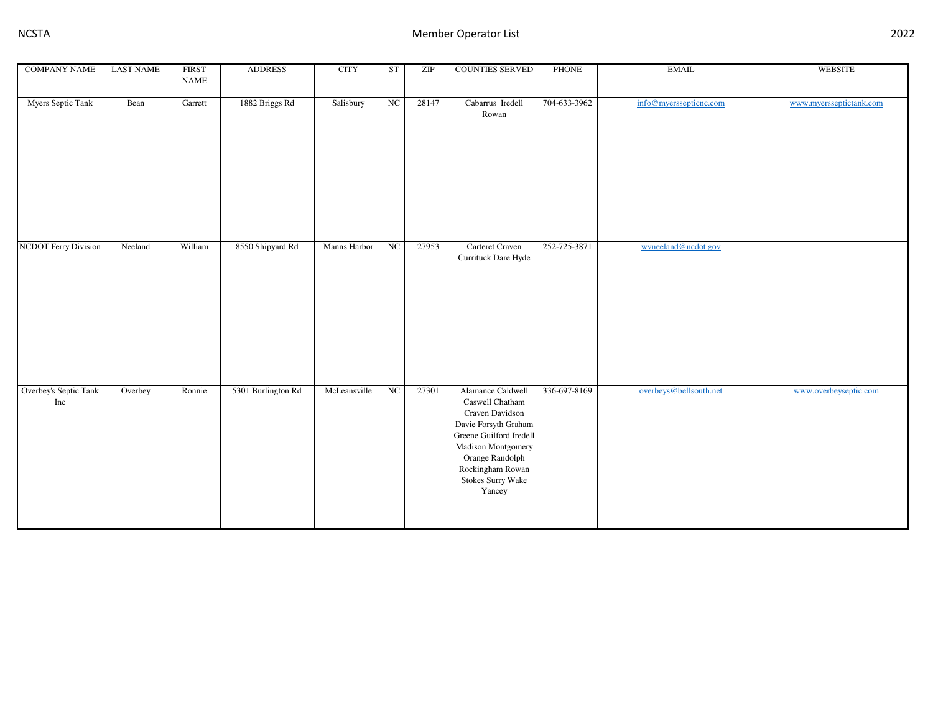| <b>COMPANY NAME</b>          | <b>LAST NAME</b> | <b>FIRST</b>                 | <b>ADDRESS</b>     | <b>CITY</b>  | ST          | ZIP   | <b>COUNTIES SERVED</b>                                                                                                                                                                                 | <b>PHONE</b> | <b>EMAIL</b>           | <b>WEBSITE</b>          |
|------------------------------|------------------|------------------------------|--------------------|--------------|-------------|-------|--------------------------------------------------------------------------------------------------------------------------------------------------------------------------------------------------------|--------------|------------------------|-------------------------|
|                              |                  | $\ensuremath{\mathsf{NAME}}$ |                    |              |             |       |                                                                                                                                                                                                        |              |                        |                         |
| Myers Septic Tank            | Bean             | Garrett                      | 1882 Briggs Rd     | Salisbury    | NC          | 28147 | Cabarrus Iredell<br>Rowan                                                                                                                                                                              | 704-633-3962 | info@myerssepticnc.com | www.myersseptictank.com |
| <b>NCDOT</b> Ferry Division  | Neeland          | William                      | 8550 Shipyard Rd   | Manns Harbor | $_{\rm NC}$ | 27953 | Carteret Craven<br>Currituck Dare Hyde                                                                                                                                                                 | 252-725-3871 | wyneeland@ncdot.gov    |                         |
| Overbey's Septic Tank<br>Inc | Overbey          | Ronnie                       | 5301 Burlington Rd | McLeansville | $_{\rm NC}$ | 27301 | Alamance Caldwell<br>Caswell Chatham<br>Craven Davidson<br>Davie Forsyth Graham<br>Greene Guilford Iredell<br>Madison Montgomery<br>Orange Randolph<br>Rockingham Rowan<br>Stokes Surry Wake<br>Yancey | 336-697-8169 | overbeys@bellsouth.net | www.overbeyseptic.com   |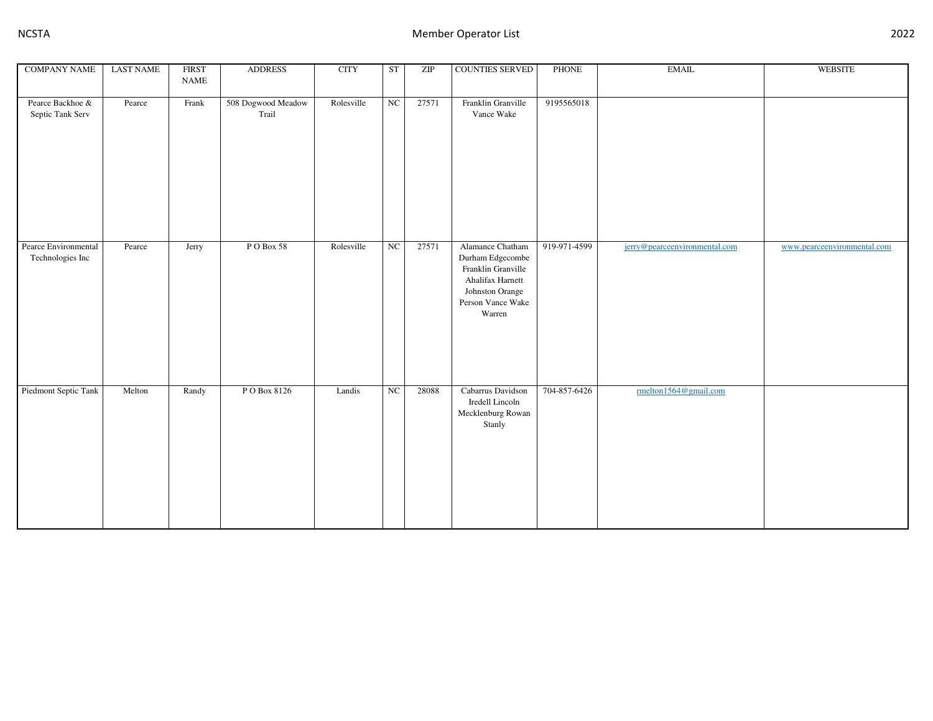| <b>COMPANY NAME</b>                      | <b>LAST NAME</b> | <b>FIRST</b><br><b>NAME</b> | <b>ADDRESS</b>              | <b>CITY</b> | ST          | ZIP   | COUNTIES SERVED                                                                                                                  | PHONE        | $\operatorname{EMAIL}$        | <b>WEBSITE</b>              |
|------------------------------------------|------------------|-----------------------------|-----------------------------|-------------|-------------|-------|----------------------------------------------------------------------------------------------------------------------------------|--------------|-------------------------------|-----------------------------|
| Pearce Backhoe &<br>Septic Tank Serv     | Pearce           | Frank                       | 508 Dogwood Meadow<br>Trail | Rolesville  | $_{\rm NC}$ | 27571 | Franklin Granville<br>Vance Wake                                                                                                 | 9195565018   |                               |                             |
| Pearce Environmental<br>Technologies Inc | Pearce           | Jerry                       | PO Box 58                   | Rolesville  | $_{\rm NC}$ | 27571 | Alamance Chatham<br>Durham Edgecombe<br>Franklin Granville<br>Ahalifax Harnett<br>Johnston Orange<br>Person Vance Wake<br>Warren | 919-971-4599 | jerry@pearceenvironmental.com | www.pearceenvironmental.com |
| Piedmont Septic Tank                     | Melton           | Randy                       | P O Box 8126                | Landis      | $_{\rm NC}$ | 28088 | Cabarrus Davidson<br>Iredell Lincoln<br>Mecklenburg Rowan<br>Stanly                                                              | 704-857-6426 | rmelton1564@gmail.com         |                             |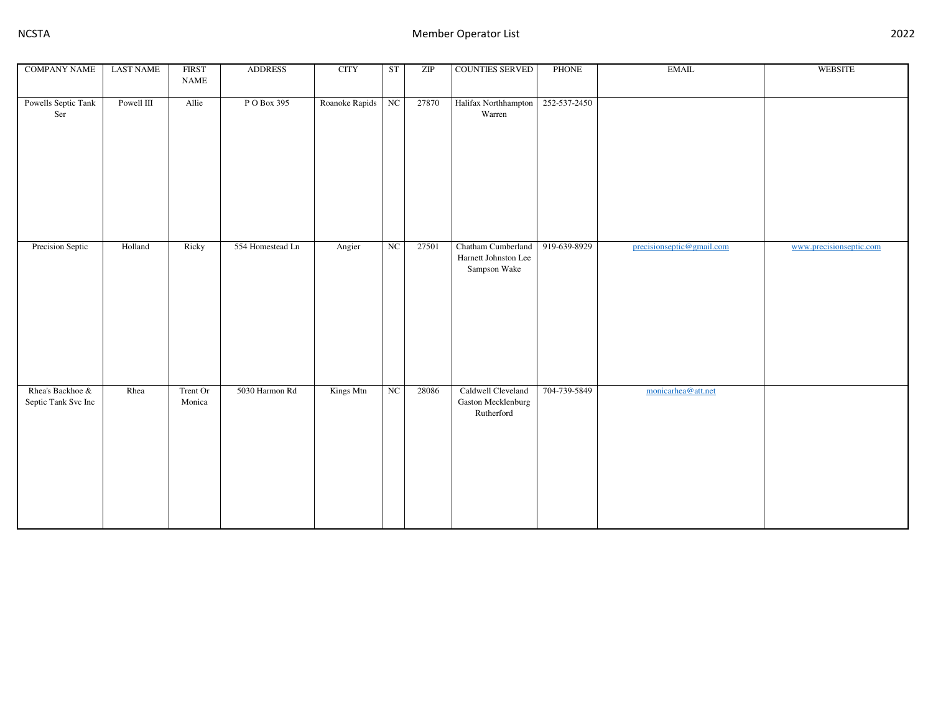| <b>COMPANY NAME</b>                     | <b>LAST NAME</b> | <b>FIRST</b><br>$\ensuremath{\mathsf{NAME}}$ | <b>ADDRESS</b>   | <b>CITY</b>    | ST                     | ZIP   | COUNTIES SERVED                                            | PHONE        | $\operatorname{EMAIL}$    | WEBSITE                 |
|-----------------------------------------|------------------|----------------------------------------------|------------------|----------------|------------------------|-------|------------------------------------------------------------|--------------|---------------------------|-------------------------|
| Powells Septic Tank<br>Ser              | Powell $\rm III$ | Allie                                        | P O Box 395      | Roanoke Rapids | NC                     | 27870 | Halifax Northhampton<br>Warren                             | 252-537-2450 |                           |                         |
| Precision Septic                        | Holland          | Ricky                                        | 554 Homestead Ln | Angier         | $_{\rm NC}$            | 27501 | Chatham Cumberland<br>Harnett Johnston Lee<br>Sampson Wake | 919-639-8929 | precisionseptic@gmail.com | www.precisionseptic.com |
| Rhea's Backhoe &<br>Septic Tank Svc Inc | Rhea             | Trent Or<br>Monica                           | 5030 Harmon Rd   | Kings Mtn      | $\overline{\text{NC}}$ | 28086 | Caldwell Cleveland<br>Gaston Mecklenburg<br>Rutherford     | 704-739-5849 | monicarhea@att.net        |                         |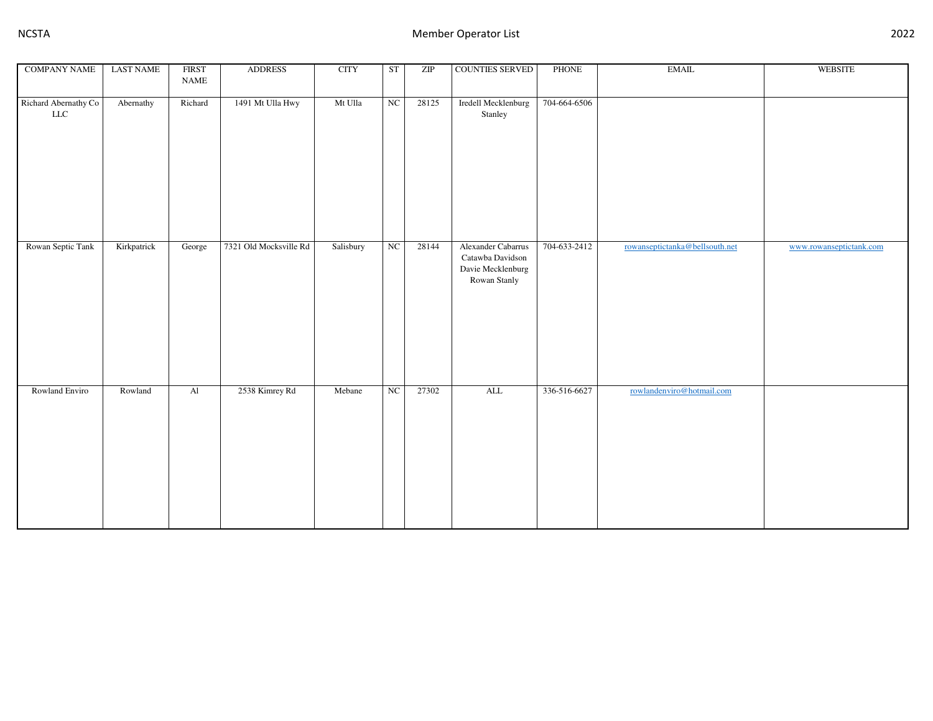| <b>COMPANY NAME</b>                 | <b>LAST NAME</b> | <b>FIRST</b><br>$\ensuremath{\mathsf{NAME}}$ | <b>ADDRESS</b>         | <b>CITY</b> | ST          | ZIP   | COUNTIES SERVED                                                             | PHONE        | <b>EMAIL</b>                   | WEBSITE                 |
|-------------------------------------|------------------|----------------------------------------------|------------------------|-------------|-------------|-------|-----------------------------------------------------------------------------|--------------|--------------------------------|-------------------------|
| Richard Abernathy Co<br>${\rm LLC}$ | Abernathy        | Richard                                      | 1491 Mt Ulla Hwy       | Mt Ulla     | NC          | 28125 | Iredell Mecklenburg<br>Stanley                                              | 704-664-6506 |                                |                         |
| Rowan Septic Tank                   | Kirkpatrick      | George                                       | 7321 Old Mocksville Rd | Salisbury   | $_{\rm NC}$ | 28144 | Alexander Cabarrus<br>Catawba Davidson<br>Davie Mecklenburg<br>Rowan Stanly | 704-633-2412 | rowanseptictanka@bellsouth.net | www.rowanseptictank.com |
| Rowland Enviro                      | Rowland          | $\mathbf{Al}$                                | 2538 Kimrey Rd         | Mebane      | NC          | 27302 | $\mbox{ALL}$                                                                | 336-516-6627 | rowlandenviro@hotmail.com      |                         |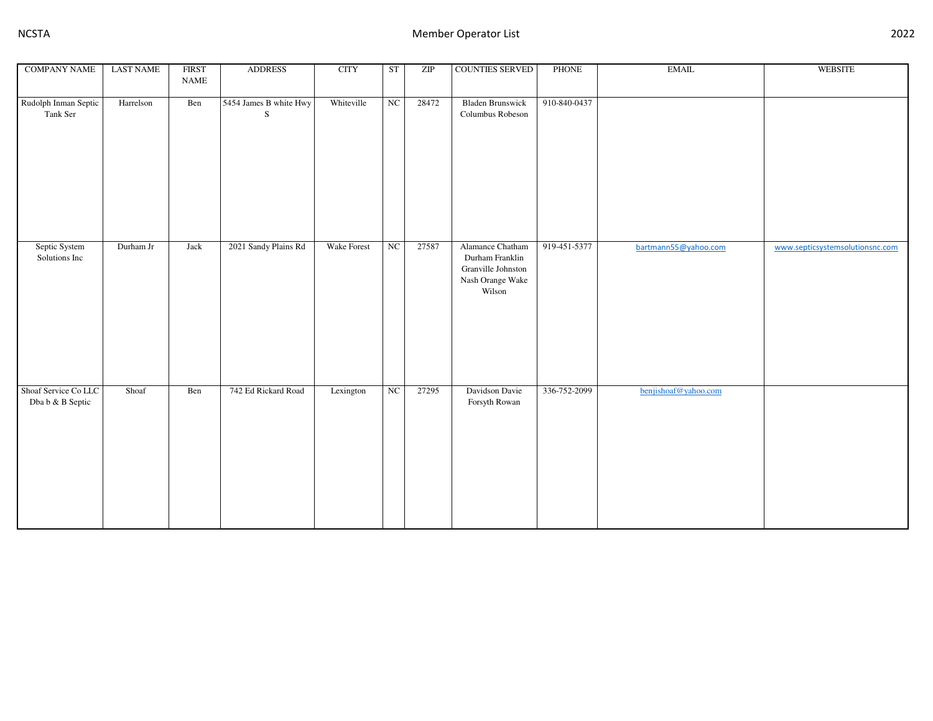| <b>COMPANY NAME</b>                      | <b>LAST NAME</b> | <b>FIRST</b><br>$\ensuremath{\mathsf{NAME}}$ | <b>ADDRESS</b>              | <b>CITY</b> | ST          | ZIP   | COUNTIES SERVED                                                                         | <b>PHONE</b> | $\operatorname{EMAIL}$ | WEBSITE                         |
|------------------------------------------|------------------|----------------------------------------------|-----------------------------|-------------|-------------|-------|-----------------------------------------------------------------------------------------|--------------|------------------------|---------------------------------|
| Rudolph Inman Septic<br>Tank Ser         | Harrelson        | Ben                                          | 5454 James B white Hwy<br>S | Whiteville  | $_{\rm NC}$ | 28472 | <b>Bladen Brunswick</b><br>Columbus Robeson                                             | 910-840-0437 |                        |                                 |
| Septic System<br>Solutions Inc           | Durham Jr        | Jack                                         | 2021 Sandy Plains Rd        | Wake Forest | NC          | 27587 | Alamance Chatham<br>Durham Franklin<br>Granville Johnston<br>Nash Orange Wake<br>Wilson | 919-451-5377 | bartmann55@yahoo.com   | www.septicsystemsolutionsnc.com |
| Shoaf Service Co LLC<br>Dba b & B Septic | Shoaf            | Ben                                          | 742 Ed Rickard Road         | Lexington   | NC          | 27295 | Davidson Davie<br>Forsyth Rowan                                                         | 336-752-2099 | benjishoaf@yahoo.com   |                                 |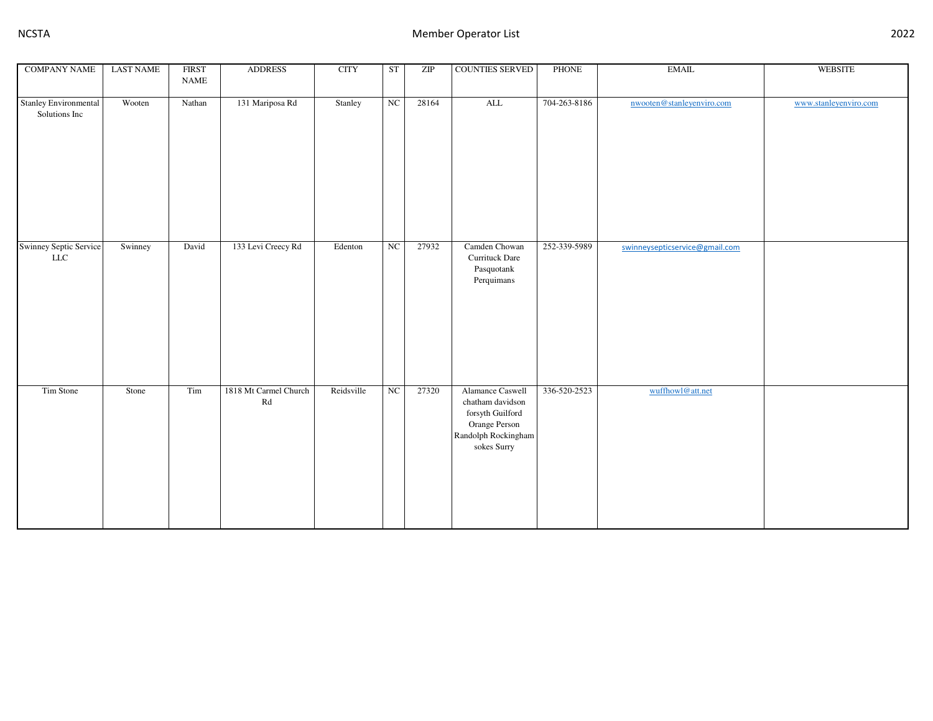| <b>COMPANY NAME</b>                           | <b>LAST NAME</b> | <b>FIRST</b><br><b>NAME</b> | <b>ADDRESS</b>                                  | <b>CITY</b> | ST                     | ZIP   | COUNTIES SERVED                                                                                                 | PHONE        | <b>EMAIL</b>                   | <b>WEBSITE</b>        |
|-----------------------------------------------|------------------|-----------------------------|-------------------------------------------------|-------------|------------------------|-------|-----------------------------------------------------------------------------------------------------------------|--------------|--------------------------------|-----------------------|
| <b>Stanley Environmental</b><br>Solutions Inc | Wooten           | Nathan                      | 131 Mariposa Rd                                 | Stanley     | NC                     | 28164 | $\overline{\text{ALL}}$                                                                                         | 704-263-8186 | nwooten@stanleyenviro.com      | www.stanleyenviro.com |
|                                               |                  |                             |                                                 |             |                        |       |                                                                                                                 |              |                                |                       |
| <b>Swinney Septic Service</b><br>${\rm LLC}$  | Swinney          | David                       | 133 Levi Creecy Rd                              | Edenton     | $_{\rm NC}$            | 27932 | Camden Chowan<br>Currituck Dare<br>Pasquotank<br>Perquimans                                                     | 252-339-5989 | swinneysepticservice@gmail.com |                       |
| Tim Stone                                     | Stone            | Tim                         | 1818 Mt Carmel Church<br>$\mathbb{R}\mathrm{d}$ | Reidsville  | $\overline{\text{NC}}$ | 27320 | Alamance Caswell<br>chatham davidson<br>forsyth Guilford<br>Orange Person<br>Randolph Rockingham<br>sokes Surry | 336-520-2523 | wuffhowl@att.net               |                       |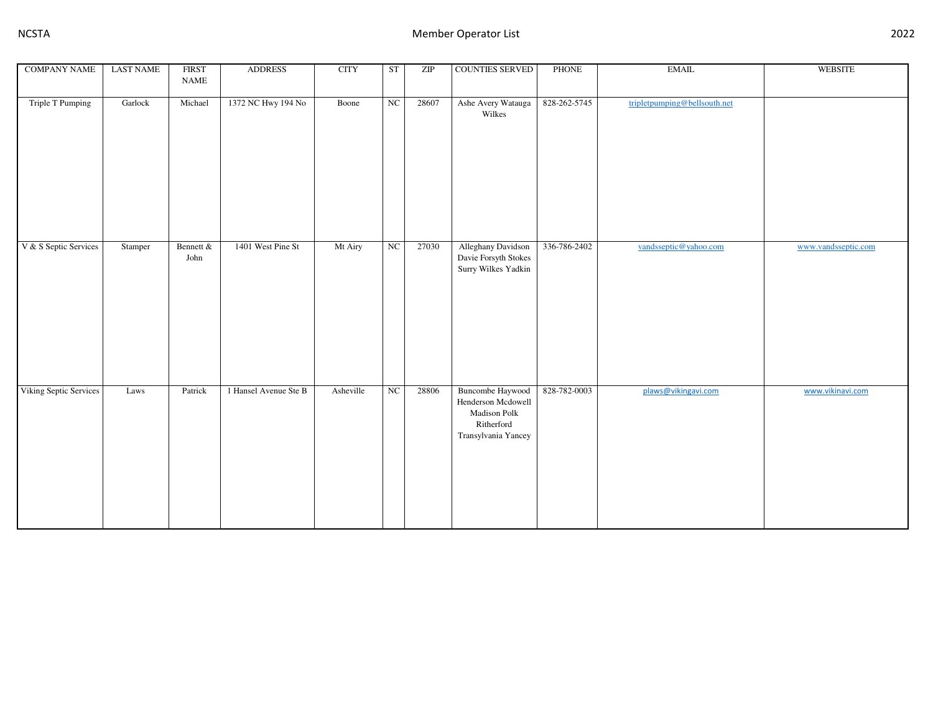| <b>COMPANY NAME</b>     | <b>LAST NAME</b> | <b>FIRST</b><br>$\ensuremath{\mathsf{NAME}}$ | <b>ADDRESS</b>        | <b>CITY</b> | ST | ZIP   | <b>COUNTIES SERVED</b>                                                                             | <b>PHONE</b> | <b>EMAIL</b>                 | <b>WEBSITE</b>      |
|-------------------------|------------------|----------------------------------------------|-----------------------|-------------|----|-------|----------------------------------------------------------------------------------------------------|--------------|------------------------------|---------------------|
| <b>Triple T Pumping</b> | Garlock          | Michael                                      | 1372 NC Hwy 194 No    | Boone       | NC | 28607 | Ashe Avery Watauga<br>Wilkes                                                                       | 828-262-5745 | tripletpumping@bellsouth.net |                     |
| V & S Septic Services   | Stamper          | Bennett &<br>John                            | 1401 West Pine St     | Mt Airy     | NC | 27030 | Alleghany Davidson<br>Davie Forsyth Stokes<br>Surry Wilkes Yadkin                                  | 336-786-2402 | vandsseptic@yahoo.com        | www.vandsseptic.com |
| Viking Septic Services  | Laws             | Patrick                                      | 1 Hansel Avenue Ste B | Asheville   | NC | 28806 | <b>Buncombe Haywood</b><br>Henderson Mcdowell<br>Madison Polk<br>Ritherford<br>Transylvania Yancey | 828-782-0003 | plaws@vikingavi.com          | www.vikinavi.com    |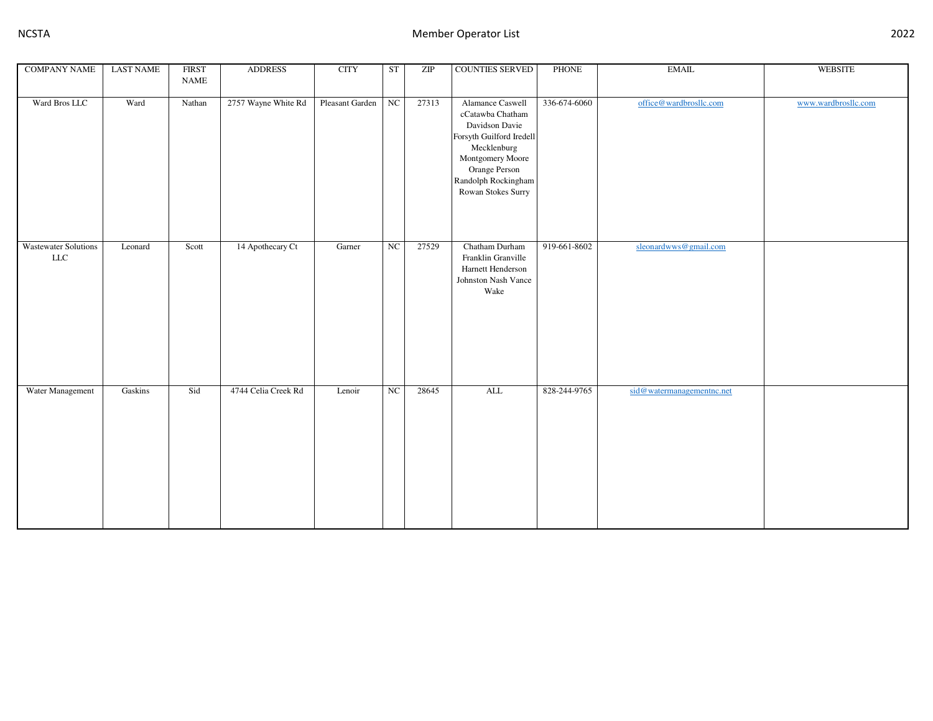| <b>COMPANY NAME</b>                | <b>LAST NAME</b> | <b>FIRST</b> | <b>ADDRESS</b>      | <b>CITY</b>     | ST          | ZIP   | COUNTIES SERVED                                                                                                                                                                     | PHONE        | <b>EMAIL</b>              | WEBSITE             |
|------------------------------------|------------------|--------------|---------------------|-----------------|-------------|-------|-------------------------------------------------------------------------------------------------------------------------------------------------------------------------------------|--------------|---------------------------|---------------------|
|                                    |                  | <b>NAME</b>  |                     |                 |             |       |                                                                                                                                                                                     |              |                           |                     |
|                                    |                  |              |                     |                 |             |       |                                                                                                                                                                                     |              |                           |                     |
| Ward Bros LLC                      | Ward             | Nathan       | 2757 Wayne White Rd | Pleasant Garden | $_{\rm NC}$ | 27313 | Alamance Caswell<br>cCatawba Chatham<br>Davidson Davie<br>Forsyth Guilford Iredell<br>Mecklenburg<br>Montgomery Moore<br>Orange Person<br>Randolph Rockingham<br>Rowan Stokes Surry | 336-674-6060 | office@wardbrosllc.com    | www.wardbrosllc.com |
| <b>Wastewater Solutions</b><br>LLC | Leonard          | Scott        | 14 Apothecary Ct    | Garner          | NC          | 27529 | Chatham Durham<br>Franklin Granville<br>Harnett Henderson<br>Johnston Nash Vance<br>Wake                                                                                            | 919-661-8602 | sleonardwws@gmail.com     |                     |
| Water Management                   | Gaskins          | Sid          | 4744 Celia Creek Rd | Lenoir          | $_{\rm NC}$ | 28645 | $\mbox{ALL}$                                                                                                                                                                        | 828-244-9765 | sid@watermanagementnc.net |                     |